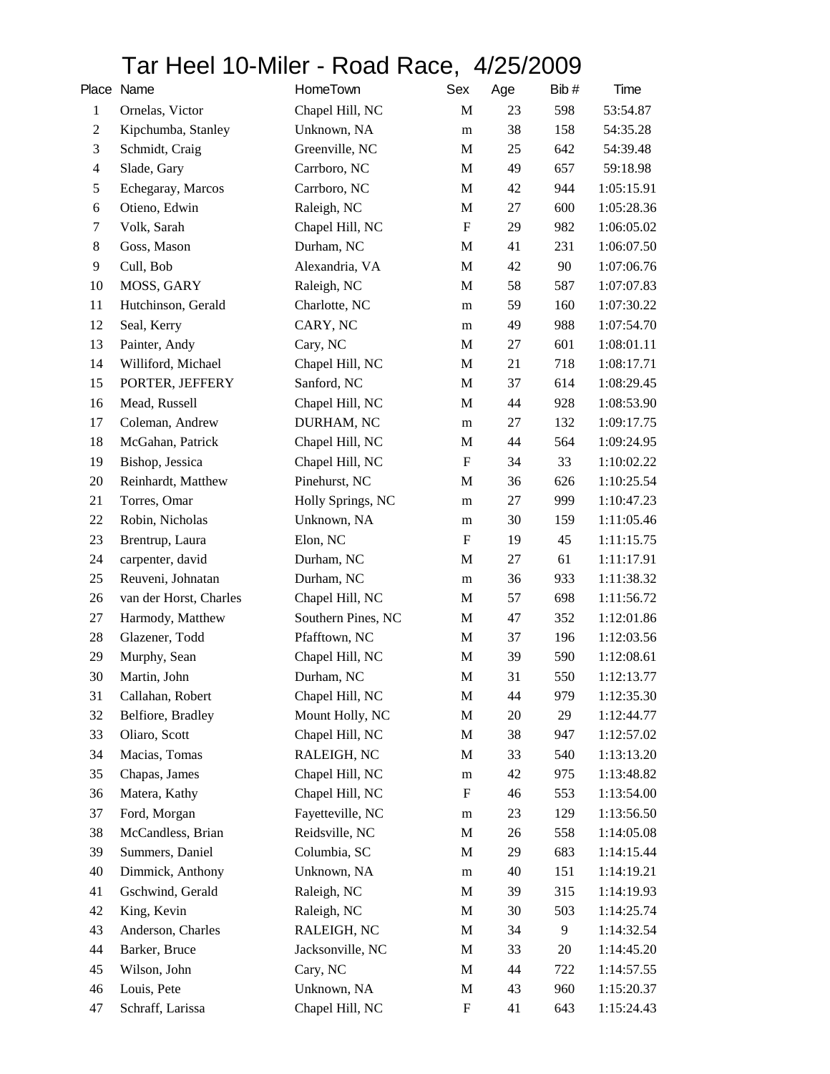## Tar Heel 10-Miler - Road Race, 4/25/2009

|                  | Place Name             | HomeTown           | Sex                       | Age | Bib# | Time       |
|------------------|------------------------|--------------------|---------------------------|-----|------|------------|
| $\mathbf{1}$     | Ornelas, Victor        | Chapel Hill, NC    | M                         | 23  | 598  | 53:54.87   |
| $\boldsymbol{2}$ | Kipchumba, Stanley     | Unknown, NA        | m                         | 38  | 158  | 54:35.28   |
| $\mathfrak{Z}$   | Schmidt, Craig         | Greenville, NC     | $\mathbf M$               | 25  | 642  | 54:39.48   |
| $\overline{4}$   | Slade, Gary            | Carrboro, NC       | $\mathbf M$               | 49  | 657  | 59:18.98   |
| $\mathfrak s$    | Echegaray, Marcos      | Carrboro, NC       | M                         | 42  | 944  | 1:05:15.91 |
| $\sqrt{6}$       | Otieno, Edwin          | Raleigh, NC        | $\mathbf M$               | 27  | 600  | 1:05:28.36 |
| $\tau$           | Volk, Sarah            | Chapel Hill, NC    | $\boldsymbol{\mathrm{F}}$ | 29  | 982  | 1:06:05.02 |
| $\,8\,$          | Goss, Mason            | Durham, NC         | $\mathbf M$               | 41  | 231  | 1:06:07.50 |
| 9                | Cull, Bob              | Alexandria, VA     | $\mathbf M$               | 42  | 90   | 1:07:06.76 |
| 10               | MOSS, GARY             | Raleigh, NC        | M                         | 58  | 587  | 1:07:07.83 |
| 11               | Hutchinson, Gerald     | Charlotte, NC      | m                         | 59  | 160  | 1:07:30.22 |
| 12               | Seal, Kerry            | CARY, NC           | m                         | 49  | 988  | 1:07:54.70 |
| 13               | Painter, Andy          | Cary, NC           | $\mathbf M$               | 27  | 601  | 1:08:01.11 |
| 14               | Williford, Michael     | Chapel Hill, NC    | M                         | 21  | 718  | 1:08:17.71 |
| 15               | PORTER, JEFFERY        | Sanford, NC        | M                         | 37  | 614  | 1:08:29.45 |
| 16               | Mead, Russell          | Chapel Hill, NC    | $\mathbf M$               | 44  | 928  | 1:08:53.90 |
| 17               | Coleman, Andrew        | DURHAM, NC         | m                         | 27  | 132  | 1:09:17.75 |
| 18               | McGahan, Patrick       | Chapel Hill, NC    | $\mathbf M$               | 44  | 564  | 1:09:24.95 |
| 19               | Bishop, Jessica        | Chapel Hill, NC    | $\boldsymbol{\mathrm{F}}$ | 34  | 33   | 1:10:02.22 |
| 20               | Reinhardt, Matthew     | Pinehurst, NC      | M                         | 36  | 626  | 1:10:25.54 |
| 21               | Torres, Omar           | Holly Springs, NC  | m                         | 27  | 999  | 1:10:47.23 |
| 22               | Robin, Nicholas        | Unknown, NA        | m                         | 30  | 159  | 1:11:05.46 |
| 23               | Brentrup, Laura        | Elon, NC           | $\boldsymbol{\mathrm{F}}$ | 19  | 45   | 1:11:15.75 |
| 24               | carpenter, david       | Durham, NC         | M                         | 27  | 61   | 1:11:17.91 |
| 25               | Reuveni, Johnatan      | Durham, NC         | m                         | 36  | 933  | 1:11:38.32 |
| 26               | van der Horst, Charles | Chapel Hill, NC    | $\mathbf M$               | 57  | 698  | 1:11:56.72 |
| 27               | Harmody, Matthew       | Southern Pines, NC | M                         | 47  | 352  | 1:12:01.86 |
| 28               | Glazener, Todd         | Pfafftown, NC      | $\mathbf M$               | 37  | 196  | 1:12:03.56 |
| 29               | Murphy, Sean           | Chapel Hill, NC    | M                         | 39  | 590  | 1:12:08.61 |
| 30               | Martin, John           | Durham, NC         | M                         | 31  | 550  | 1:12:13.77 |
| 31               | Callahan, Robert       | Chapel Hill, NC    | M                         | 44  | 979  | 1:12:35.30 |
| 32               | Belfiore, Bradley      | Mount Holly, NC    | M                         | 20  | 29   | 1:12:44.77 |
| 33               | Oliaro, Scott          | Chapel Hill, NC    | M                         | 38  | 947  | 1:12:57.02 |
| 34               | Macias, Tomas          | RALEIGH, NC        | M                         | 33  | 540  | 1:13:13.20 |
| 35               | Chapas, James          | Chapel Hill, NC    | m                         | 42  | 975  | 1:13:48.82 |
| 36               | Matera, Kathy          | Chapel Hill, NC    | $\mathbf F$               | 46  | 553  | 1:13:54.00 |
| 37               | Ford, Morgan           | Fayetteville, NC   | m                         | 23  | 129  | 1:13:56.50 |
| 38               | McCandless, Brian      | Reidsville, NC     | M                         | 26  | 558  | 1:14:05.08 |
| 39               | Summers, Daniel        | Columbia, SC       | M                         | 29  | 683  | 1:14:15.44 |
| 40               | Dimmick, Anthony       | Unknown, NA        | ${\bf m}$                 | 40  | 151  | 1:14:19.21 |
| 41               | Gschwind, Gerald       | Raleigh, NC        | $\mathbf M$               | 39  | 315  | 1:14:19.93 |
| 42               | King, Kevin            | Raleigh, NC        | M                         | 30  | 503  | 1:14:25.74 |
| 43               | Anderson, Charles      | RALEIGH, NC        | M                         | 34  | 9    | 1:14:32.54 |
| 44               | Barker, Bruce          | Jacksonville, NC   | M                         | 33  | 20   | 1:14:45.20 |
| 45               | Wilson, John           | Cary, NC           | M                         | 44  | 722  | 1:14:57.55 |
| 46               | Louis, Pete            | Unknown, NA        | $\mathbf M$               | 43  | 960  | 1:15:20.37 |
| 47               | Schraff, Larissa       | Chapel Hill, NC    | $\mathbf F$               | 41  | 643  | 1:15:24.43 |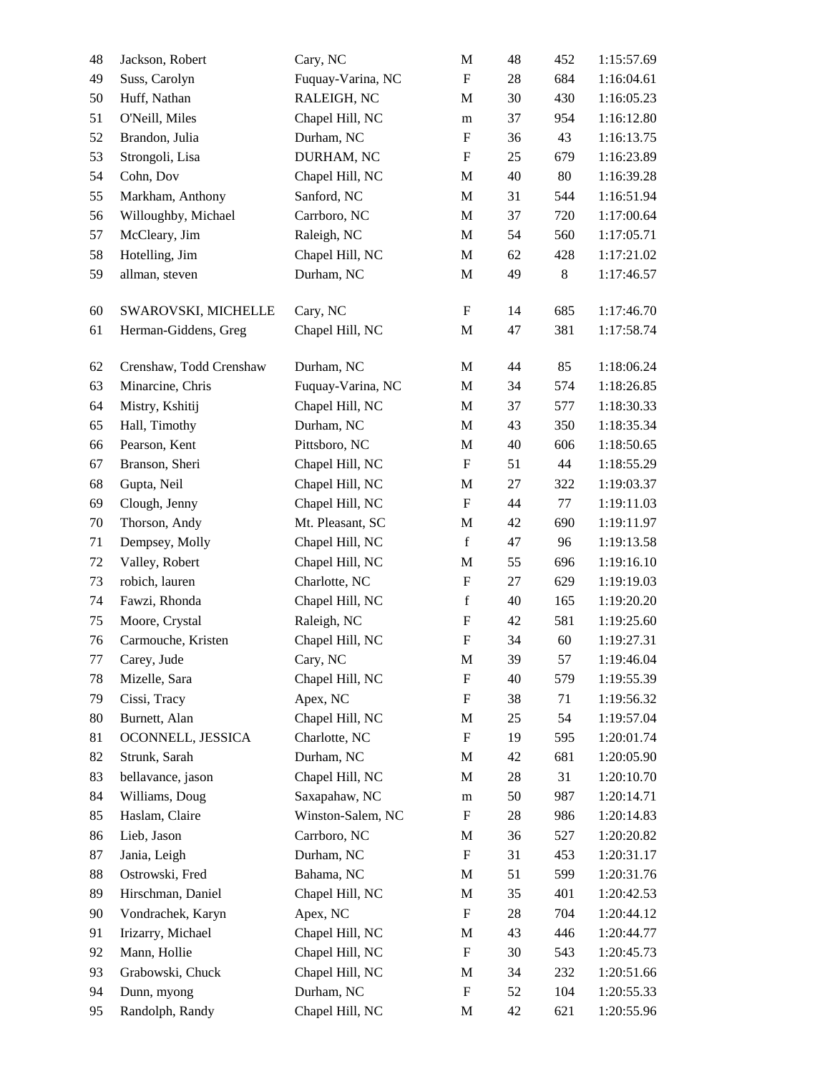| 48 | Jackson, Robert         | Cary, NC          | M                         | 48 | 452 | 1:15:57.69 |
|----|-------------------------|-------------------|---------------------------|----|-----|------------|
| 49 | Suss, Carolyn           | Fuquay-Varina, NC | $\mathbf F$               | 28 | 684 | 1:16:04.61 |
| 50 | Huff, Nathan            | RALEIGH, NC       | M                         | 30 | 430 | 1:16:05.23 |
| 51 | O'Neill, Miles          | Chapel Hill, NC   | m                         | 37 | 954 | 1:16:12.80 |
| 52 | Brandon, Julia          | Durham, NC        | $\boldsymbol{\mathrm{F}}$ | 36 | 43  | 1:16:13.75 |
| 53 | Strongoli, Lisa         | DURHAM, NC        | $\boldsymbol{\mathrm{F}}$ | 25 | 679 | 1:16:23.89 |
| 54 | Cohn, Dov               | Chapel Hill, NC   | M                         | 40 | 80  | 1:16:39.28 |
| 55 | Markham, Anthony        | Sanford, NC       | M                         | 31 | 544 | 1:16:51.94 |
| 56 | Willoughby, Michael     | Carrboro, NC      | M                         | 37 | 720 | 1:17:00.64 |
| 57 | McCleary, Jim           | Raleigh, NC       | M                         | 54 | 560 | 1:17:05.71 |
| 58 | Hotelling, Jim          | Chapel Hill, NC   | M                         | 62 | 428 | 1:17:21.02 |
| 59 | allman, steven          | Durham, NC        | M                         | 49 | 8   | 1:17:46.57 |
|    |                         |                   |                           |    |     |            |
| 60 | SWAROVSKI, MICHELLE     | Cary, NC          | $\mathbf F$               | 14 | 685 | 1:17:46.70 |
| 61 | Herman-Giddens, Greg    | Chapel Hill, NC   | M                         | 47 | 381 | 1:17:58.74 |
| 62 | Crenshaw, Todd Crenshaw | Durham, NC        | M                         | 44 | 85  | 1:18:06.24 |
| 63 | Minarcine, Chris        | Fuquay-Varina, NC | M                         | 34 | 574 | 1:18:26.85 |
| 64 | Mistry, Kshitij         | Chapel Hill, NC   | M                         | 37 | 577 | 1:18:30.33 |
| 65 | Hall, Timothy           | Durham, NC        | M                         | 43 | 350 | 1:18:35.34 |
| 66 | Pearson, Kent           | Pittsboro, NC     | M                         | 40 | 606 | 1:18:50.65 |
| 67 | Branson, Sheri          | Chapel Hill, NC   | $\boldsymbol{\mathrm{F}}$ | 51 | 44  | 1:18:55.29 |
| 68 | Gupta, Neil             | Chapel Hill, NC   | M                         | 27 | 322 | 1:19:03.37 |
| 69 | Clough, Jenny           | Chapel Hill, NC   | $\mathbf F$               | 44 | 77  | 1:19:11.03 |
| 70 | Thorson, Andy           | Mt. Pleasant, SC  | M                         | 42 | 690 | 1:19:11.97 |
|    |                         |                   | $\mathbf f$               |    |     |            |
| 71 | Dempsey, Molly          | Chapel Hill, NC   |                           | 47 | 96  | 1:19:13.58 |
| 72 | Valley, Robert          | Chapel Hill, NC   | M                         | 55 | 696 | 1:19:16.10 |
| 73 | robich, lauren          | Charlotte, NC     | $\boldsymbol{\mathrm{F}}$ | 27 | 629 | 1:19:19.03 |
| 74 | Fawzi, Rhonda           | Chapel Hill, NC   | $\mathbf f$               | 40 | 165 | 1:19:20.20 |
| 75 | Moore, Crystal          | Raleigh, NC       | F                         | 42 | 581 | 1:19:25.60 |
| 76 | Carmouche, Kristen      | Chapel Hill, NC   | ${\bf F}$                 | 34 | 60  | 1:19:27.31 |
| 77 | Carey, Jude             | Cary, NC          | M                         | 39 | 57  | 1:19:46.04 |
| 78 | Mizelle, Sara           | Chapel Hill, NC   | F                         | 40 | 579 | 1:19:55.39 |
| 79 | Cissi, Tracy            | Apex, NC          | $\boldsymbol{\mathrm{F}}$ | 38 | 71  | 1:19:56.32 |
| 80 | Burnett, Alan           | Chapel Hill, NC   | M                         | 25 | 54  | 1:19:57.04 |
| 81 | OCONNELL, JESSICA       | Charlotte, NC     | $\mathbf F$               | 19 | 595 | 1:20:01.74 |
| 82 | Strunk, Sarah           | Durham, NC        | M                         | 42 | 681 | 1:20:05.90 |
| 83 | bellavance, jason       | Chapel Hill, NC   | M                         | 28 | 31  | 1:20:10.70 |
| 84 | Williams, Doug          | Saxapahaw, NC     | m                         | 50 | 987 | 1:20:14.71 |
| 85 | Haslam, Claire          | Winston-Salem, NC | $\boldsymbol{\mathrm{F}}$ | 28 | 986 | 1:20:14.83 |
| 86 | Lieb, Jason             | Carrboro, NC      | M                         | 36 | 527 | 1:20:20.82 |
| 87 | Jania, Leigh            | Durham, NC        | $\mathbf F$               | 31 | 453 | 1:20:31.17 |
| 88 | Ostrowski, Fred         | Bahama, NC        | M                         | 51 | 599 | 1:20:31.76 |
| 89 | Hirschman, Daniel       | Chapel Hill, NC   | M                         | 35 | 401 | 1:20:42.53 |
| 90 | Vondrachek, Karyn       | Apex, NC          | $\boldsymbol{\mathrm{F}}$ | 28 | 704 | 1:20:44.12 |
| 91 | Irizarry, Michael       | Chapel Hill, NC   | M                         | 43 | 446 | 1:20:44.77 |
| 92 | Mann, Hollie            | Chapel Hill, NC   | $\mathbf F$               | 30 | 543 | 1:20:45.73 |
| 93 | Grabowski, Chuck        | Chapel Hill, NC   | M                         | 34 | 232 | 1:20:51.66 |
| 94 | Dunn, myong             | Durham, NC        | F                         | 52 | 104 | 1:20:55.33 |
| 95 | Randolph, Randy         | Chapel Hill, NC   | M                         | 42 | 621 | 1:20:55.96 |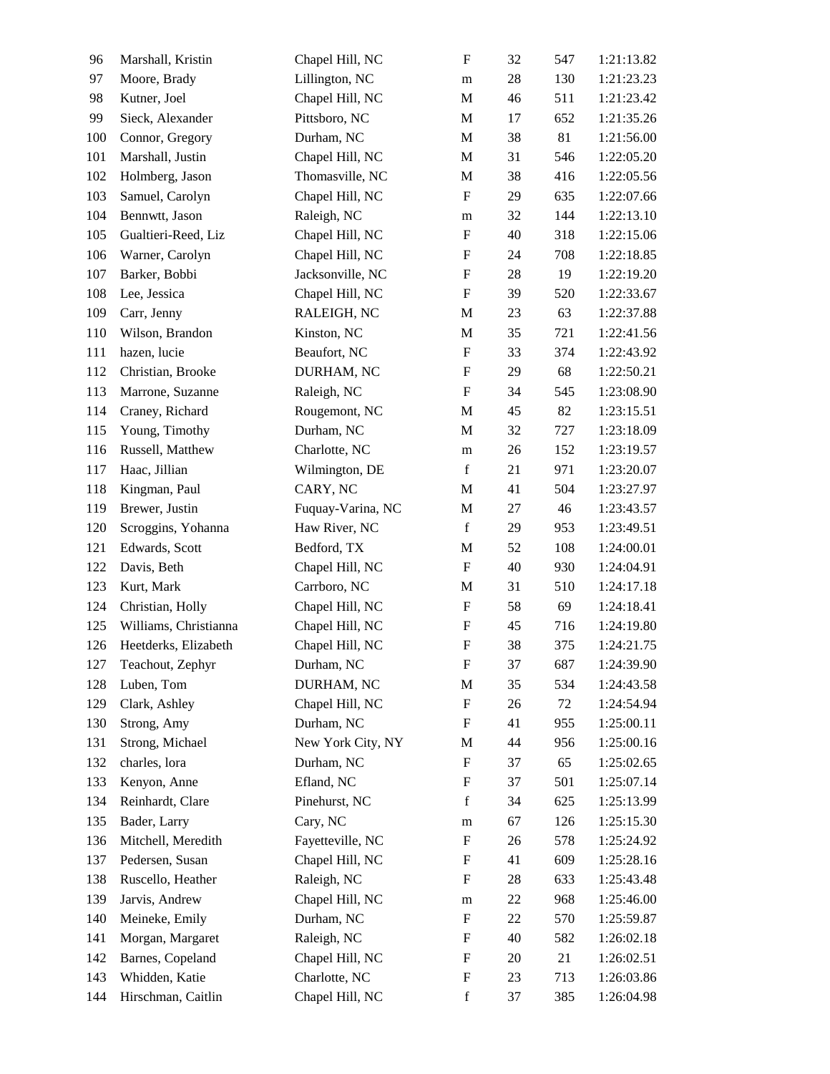| 96  | Marshall, Kristin     | Chapel Hill, NC   | $\boldsymbol{\mathrm{F}}$ | 32 | 547 | 1:21:13.82 |
|-----|-----------------------|-------------------|---------------------------|----|-----|------------|
| 97  | Moore, Brady          | Lillington, NC    | m                         | 28 | 130 | 1:21:23.23 |
| 98  | Kutner, Joel          | Chapel Hill, NC   | $\mathbf M$               | 46 | 511 | 1:21:23.42 |
| 99  | Sieck, Alexander      | Pittsboro, NC     | M                         | 17 | 652 | 1:21:35.26 |
| 100 | Connor, Gregory       | Durham, NC        | $\mathbf M$               | 38 | 81  | 1:21:56.00 |
| 101 | Marshall, Justin      | Chapel Hill, NC   | M                         | 31 | 546 | 1:22:05.20 |
| 102 | Holmberg, Jason       | Thomasville, NC   | M                         | 38 | 416 | 1:22:05.56 |
| 103 | Samuel, Carolyn       | Chapel Hill, NC   | $\boldsymbol{\mathrm{F}}$ | 29 | 635 | 1:22:07.66 |
| 104 | Bennwtt, Jason        | Raleigh, NC       | m                         | 32 | 144 | 1:22:13.10 |
| 105 | Gualtieri-Reed, Liz   | Chapel Hill, NC   | $\boldsymbol{\mathrm{F}}$ | 40 | 318 | 1:22:15.06 |
| 106 | Warner, Carolyn       | Chapel Hill, NC   | $\boldsymbol{\mathrm{F}}$ | 24 | 708 | 1:22:18.85 |
| 107 | Barker, Bobbi         | Jacksonville, NC  | ${\bf F}$                 | 28 | 19  | 1:22:19.20 |
| 108 | Lee, Jessica          | Chapel Hill, NC   | $\boldsymbol{\mathrm{F}}$ | 39 | 520 | 1:22:33.67 |
| 109 | Carr, Jenny           | RALEIGH, NC       | M                         | 23 | 63  | 1:22:37.88 |
| 110 | Wilson, Brandon       | Kinston, NC       | $\mathbf M$               | 35 | 721 | 1:22:41.56 |
| 111 | hazen, lucie          | Beaufort, NC      | $\boldsymbol{\mathrm{F}}$ | 33 | 374 | 1:22:43.92 |
| 112 | Christian, Brooke     | DURHAM, NC        | $\boldsymbol{\mathrm{F}}$ | 29 | 68  | 1:22:50.21 |
| 113 | Marrone, Suzanne      | Raleigh, NC       | $\boldsymbol{\mathrm{F}}$ | 34 | 545 | 1:23:08.90 |
| 114 | Craney, Richard       | Rougemont, NC     | M                         | 45 | 82  | 1:23:15.51 |
| 115 | Young, Timothy        | Durham, NC        | M                         | 32 | 727 | 1:23:18.09 |
| 116 | Russell, Matthew      | Charlotte, NC     | ${\rm m}$                 | 26 | 152 | 1:23:19.57 |
| 117 | Haac, Jillian         | Wilmington, DE    | $\mathbf f$               | 21 | 971 | 1:23:20.07 |
| 118 | Kingman, Paul         | CARY, NC          | $\mathbf M$               | 41 | 504 | 1:23:27.97 |
| 119 | Brewer, Justin        | Fuquay-Varina, NC | M                         | 27 | 46  | 1:23:43.57 |
| 120 | Scroggins, Yohanna    | Haw River, NC     | $\mathbf f$               | 29 | 953 | 1:23:49.51 |
| 121 | Edwards, Scott        | Bedford, TX       | M                         | 52 | 108 | 1:24:00.01 |
| 122 | Davis, Beth           | Chapel Hill, NC   | $\mathbf F$               | 40 | 930 | 1:24:04.91 |
| 123 | Kurt, Mark            | Carrboro, NC      | M                         | 31 | 510 | 1:24:17.18 |
| 124 | Christian, Holly      | Chapel Hill, NC   | $\boldsymbol{\mathrm{F}}$ | 58 | 69  | 1:24:18.41 |
| 125 | Williams, Christianna | Chapel Hill, NC   | $\boldsymbol{\mathrm{F}}$ | 45 | 716 | 1:24:19.80 |
| 126 | Heetderks, Elizabeth  | Chapel Hill, NC   | $\boldsymbol{\mathrm{F}}$ | 38 | 375 | 1:24:21.75 |
| 127 | Teachout, Zephyr      | Durham, NC        | F                         | 37 | 687 | 1:24:39.90 |
| 128 | Luben, Tom            | DURHAM, NC        | $\mathbf M$               | 35 | 534 | 1:24:43.58 |
| 129 | Clark, Ashley         | Chapel Hill, NC   | $\boldsymbol{\mathrm{F}}$ | 26 | 72  | 1:24:54.94 |
| 130 | Strong, Amy           | Durham, NC        | F                         | 41 | 955 | 1:25:00.11 |
| 131 | Strong, Michael       | New York City, NY | M                         | 44 | 956 | 1:25:00.16 |
| 132 | charles, lora         | Durham, NC        | $\boldsymbol{\mathrm{F}}$ | 37 | 65  | 1:25:02.65 |
| 133 | Kenyon, Anne          | Efland, NC        | $\boldsymbol{\mathrm{F}}$ | 37 | 501 | 1:25:07.14 |
| 134 | Reinhardt, Clare      | Pinehurst, NC     | $\mathbf f$               | 34 | 625 | 1:25:13.99 |
| 135 | Bader, Larry          | Cary, NC          | m                         | 67 | 126 | 1:25:15.30 |
| 136 | Mitchell, Meredith    | Fayetteville, NC  | $\boldsymbol{F}$          | 26 | 578 | 1:25:24.92 |
| 137 | Pedersen, Susan       | Chapel Hill, NC   | $\boldsymbol{\mathrm{F}}$ | 41 | 609 | 1:25:28.16 |
| 138 | Ruscello, Heather     | Raleigh, NC       | $\boldsymbol{F}$          | 28 | 633 | 1:25:43.48 |
| 139 | Jarvis, Andrew        | Chapel Hill, NC   | m                         | 22 | 968 | 1:25:46.00 |
| 140 | Meineke, Emily        | Durham, NC        | $\boldsymbol{\mathrm{F}}$ | 22 | 570 | 1:25:59.87 |
| 141 | Morgan, Margaret      | Raleigh, NC       | $\mathbf F$               | 40 | 582 | 1:26:02.18 |
| 142 | Barnes, Copeland      | Chapel Hill, NC   | $\boldsymbol{\mathrm{F}}$ | 20 | 21  | 1:26:02.51 |
| 143 | Whidden, Katie        | Charlotte, NC     | $\boldsymbol{\mathrm{F}}$ | 23 | 713 | 1:26:03.86 |
| 144 | Hirschman, Caitlin    | Chapel Hill, NC   | $\mathbf f$               | 37 | 385 | 1:26:04.98 |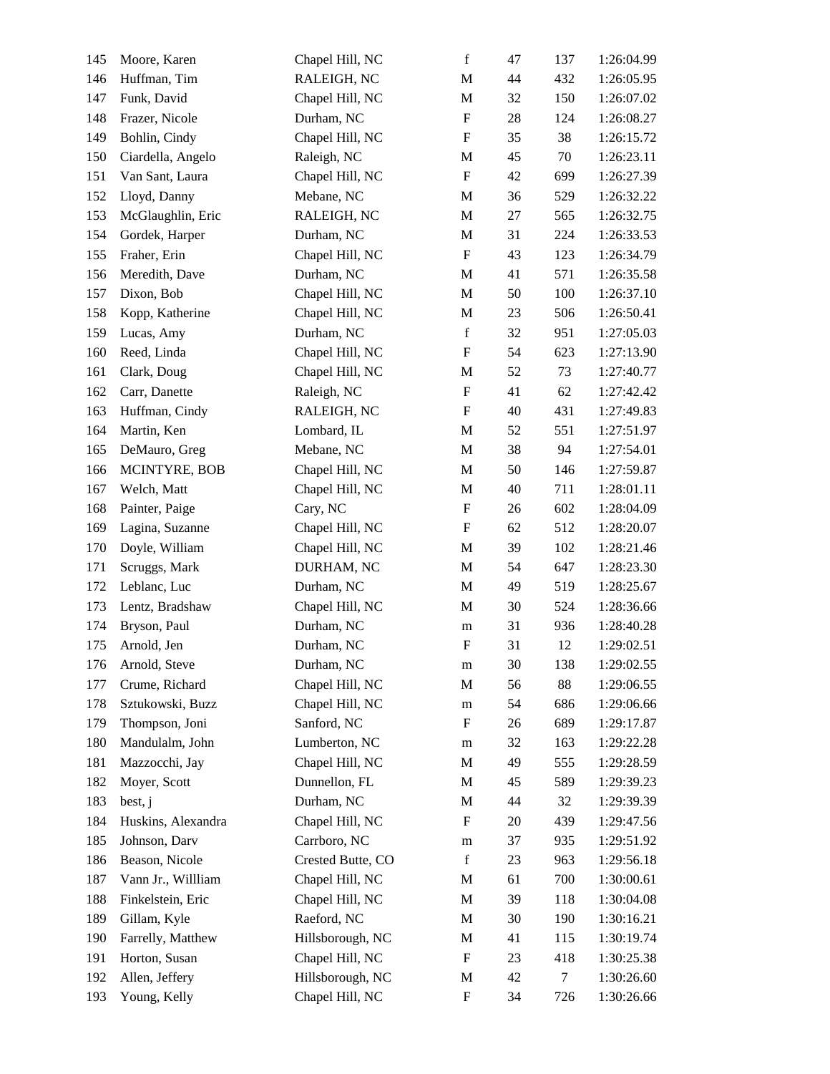| 145 | Moore, Karen       | Chapel Hill, NC   | $\mathbf f$               | 47 | 137    | 1:26:04.99 |
|-----|--------------------|-------------------|---------------------------|----|--------|------------|
| 146 | Huffman, Tim       | RALEIGH, NC       | $\mathbf M$               | 44 | 432    | 1:26:05.95 |
| 147 | Funk, David        | Chapel Hill, NC   | $\mathbf M$               | 32 | 150    | 1:26:07.02 |
| 148 | Frazer, Nicole     | Durham, NC        | $\boldsymbol{\mathrm{F}}$ | 28 | 124    | 1:26:08.27 |
| 149 | Bohlin, Cindy      | Chapel Hill, NC   | $\boldsymbol{\mathrm{F}}$ | 35 | 38     | 1:26:15.72 |
| 150 | Ciardella, Angelo  | Raleigh, NC       | $\mathbf M$               | 45 | 70     | 1:26:23.11 |
| 151 | Van Sant, Laura    | Chapel Hill, NC   | $\boldsymbol{\mathrm{F}}$ | 42 | 699    | 1:26:27.39 |
| 152 | Lloyd, Danny       | Mebane, NC        | $\mathbf M$               | 36 | 529    | 1:26:32.22 |
| 153 | McGlaughlin, Eric  | RALEIGH, NC       | M                         | 27 | 565    | 1:26:32.75 |
| 154 | Gordek, Harper     | Durham, NC        | M                         | 31 | 224    | 1:26:33.53 |
| 155 | Fraher, Erin       | Chapel Hill, NC   | $\boldsymbol{\mathrm{F}}$ | 43 | 123    | 1:26:34.79 |
| 156 | Meredith, Dave     | Durham, NC        | M                         | 41 | 571    | 1:26:35.58 |
| 157 | Dixon, Bob         | Chapel Hill, NC   | $\mathbf M$               | 50 | 100    | 1:26:37.10 |
| 158 | Kopp, Katherine    | Chapel Hill, NC   | M                         | 23 | 506    | 1:26:50.41 |
| 159 | Lucas, Amy         | Durham, NC        | $\mathbf f$               | 32 | 951    | 1:27:05.03 |
| 160 | Reed, Linda        | Chapel Hill, NC   | $\boldsymbol{\mathrm{F}}$ | 54 | 623    | 1:27:13.90 |
| 161 | Clark, Doug        | Chapel Hill, NC   | M                         | 52 | 73     | 1:27:40.77 |
| 162 | Carr, Danette      | Raleigh, NC       | $\boldsymbol{\mathrm{F}}$ | 41 | 62     | 1:27:42.42 |
| 163 | Huffman, Cindy     | RALEIGH, NC       | $\boldsymbol{\mathrm{F}}$ | 40 | 431    | 1:27:49.83 |
| 164 | Martin, Ken        | Lombard, IL       | $\mathbf M$               | 52 | 551    | 1:27:51.97 |
| 165 | DeMauro, Greg      | Mebane, NC        | $\mathbf M$               | 38 | 94     | 1:27:54.01 |
| 166 | MCINTYRE, BOB      | Chapel Hill, NC   | M                         | 50 | 146    | 1:27:59.87 |
| 167 | Welch, Matt        | Chapel Hill, NC   | $\mathbf M$               | 40 | 711    | 1:28:01.11 |
| 168 | Painter, Paige     | Cary, NC          | $\boldsymbol{\mathrm{F}}$ | 26 | 602    | 1:28:04.09 |
| 169 | Lagina, Suzanne    | Chapel Hill, NC   | $\boldsymbol{\mathrm{F}}$ | 62 | 512    | 1:28:20.07 |
| 170 | Doyle, William     | Chapel Hill, NC   | $\mathbf M$               | 39 | 102    | 1:28:21.46 |
| 171 | Scruggs, Mark      | DURHAM, NC        | M                         | 54 | 647    | 1:28:23.30 |
| 172 | Leblanc, Luc       | Durham, NC        | $\mathbf M$               | 49 | 519    | 1:28:25.67 |
| 173 | Lentz, Bradshaw    | Chapel Hill, NC   | M                         | 30 | 524    | 1:28:36.66 |
| 174 | Bryson, Paul       | Durham, NC        | ${\rm m}$                 | 31 | 936    | 1:28:40.28 |
| 175 | Arnold, Jen        | Durham, NC        | $\boldsymbol{\mathrm{F}}$ | 31 | 12     | 1:29:02.51 |
| 176 | Arnold, Steve      | Durham, NC        | ${\rm m}$                 | 30 | 138    | 1:29:02.55 |
| 177 | Crume, Richard     | Chapel Hill, NC   | $\mathbf M$               | 56 | 88     | 1:29:06.55 |
| 178 | Sztukowski, Buzz   | Chapel Hill, NC   | ${\rm m}$                 | 54 | 686    | 1:29:06.66 |
| 179 | Thompson, Joni     | Sanford, NC       | F                         | 26 | 689    | 1:29:17.87 |
| 180 | Mandulalm, John    | Lumberton, NC     | m                         | 32 | 163    | 1:29:22.28 |
| 181 | Mazzocchi, Jay     | Chapel Hill, NC   | M                         | 49 | 555    | 1:29:28.59 |
| 182 | Moyer, Scott       | Dunnellon, FL     | $\mathbf M$               | 45 | 589    | 1:29:39.23 |
| 183 | best, j            | Durham, NC        | M                         | 44 | 32     | 1:29:39.39 |
| 184 | Huskins, Alexandra | Chapel Hill, NC   | $\boldsymbol{\mathrm{F}}$ | 20 | 439    | 1:29:47.56 |
| 185 | Johnson, Darv      | Carrboro, NC      | ${\rm m}$                 | 37 | 935    | 1:29:51.92 |
| 186 | Beason, Nicole     | Crested Butte, CO | $\mathbf f$               | 23 | 963    | 1:29:56.18 |
| 187 | Vann Jr., Willliam | Chapel Hill, NC   | $\mathbf M$               | 61 | 700    | 1:30:00.61 |
| 188 | Finkelstein, Eric  | Chapel Hill, NC   | M                         | 39 | 118    | 1:30:04.08 |
| 189 | Gillam, Kyle       | Raeford, NC       | M                         | 30 | 190    | 1:30:16.21 |
| 190 | Farrelly, Matthew  | Hillsborough, NC  | M                         | 41 | 115    | 1:30:19.74 |
| 191 | Horton, Susan      | Chapel Hill, NC   | $\mathbf F$               | 23 | 418    | 1:30:25.38 |
| 192 | Allen, Jeffery     | Hillsborough, NC  | $\mathbf M$               | 42 | $\tau$ | 1:30:26.60 |
| 193 | Young, Kelly       | Chapel Hill, NC   | $\boldsymbol{F}$          | 34 | 726    | 1:30:26.66 |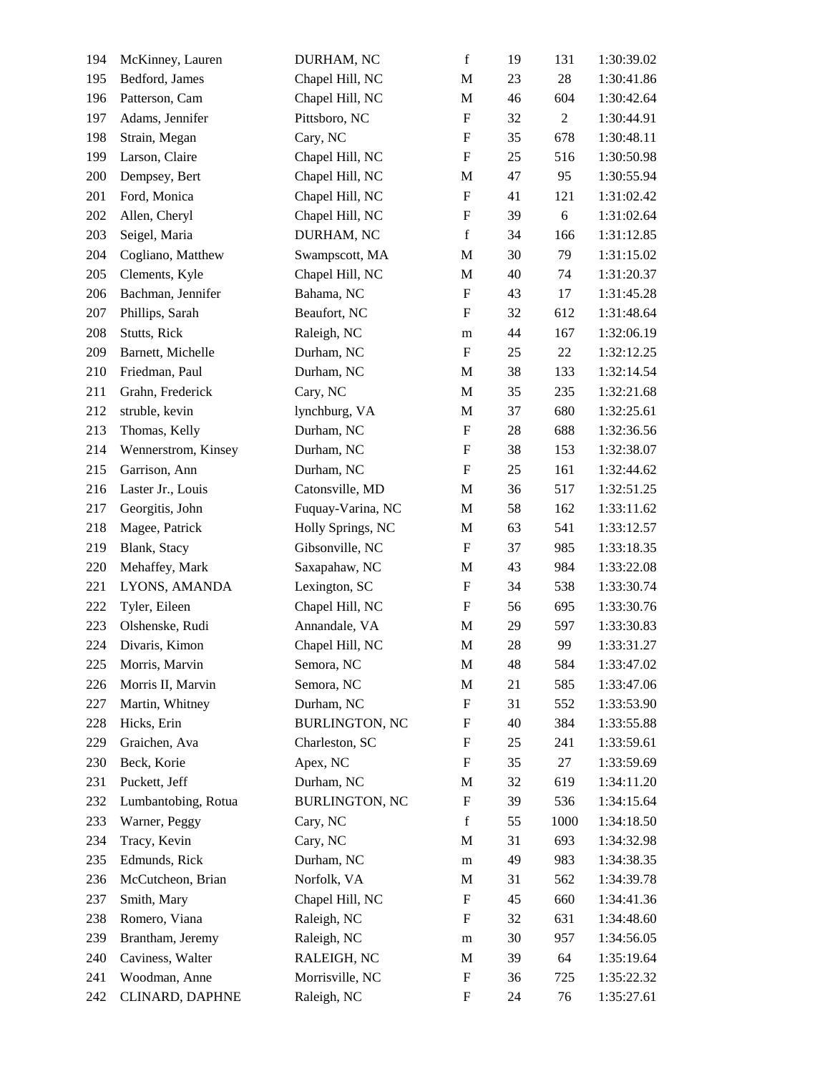| 194 | McKinney, Lauren    | DURHAM, NC            | $\mathbf f$               | 19 | 131            | 1:30:39.02 |
|-----|---------------------|-----------------------|---------------------------|----|----------------|------------|
| 195 | Bedford, James      | Chapel Hill, NC       | $\mathbf M$               | 23 | $28\,$         | 1:30:41.86 |
| 196 | Patterson, Cam      | Chapel Hill, NC       | $\mathbf M$               | 46 | 604            | 1:30:42.64 |
| 197 | Adams, Jennifer     | Pittsboro, NC         | $\boldsymbol{\mathrm{F}}$ | 32 | $\overline{2}$ | 1:30:44.91 |
| 198 | Strain, Megan       | Cary, NC              | $\boldsymbol{\mathrm{F}}$ | 35 | 678            | 1:30:48.11 |
| 199 | Larson, Claire      | Chapel Hill, NC       | $\boldsymbol{\mathrm{F}}$ | 25 | 516            | 1:30:50.98 |
| 200 | Dempsey, Bert       | Chapel Hill, NC       | M                         | 47 | 95             | 1:30:55.94 |
| 201 | Ford, Monica        | Chapel Hill, NC       | ${\bf F}$                 | 41 | 121            | 1:31:02.42 |
| 202 | Allen, Cheryl       | Chapel Hill, NC       | $\boldsymbol{\mathrm{F}}$ | 39 | 6              | 1:31:02.64 |
| 203 | Seigel, Maria       | DURHAM, NC            | $\mathbf f$               | 34 | 166            | 1:31:12.85 |
| 204 | Cogliano, Matthew   | Swampscott, MA        | M                         | 30 | 79             | 1:31:15.02 |
| 205 | Clements, Kyle      | Chapel Hill, NC       | M                         | 40 | 74             | 1:31:20.37 |
| 206 | Bachman, Jennifer   | Bahama, NC            | ${\bf F}$                 | 43 | 17             | 1:31:45.28 |
| 207 | Phillips, Sarah     | Beaufort, NC          | $\boldsymbol{\mathrm{F}}$ | 32 | 612            | 1:31:48.64 |
| 208 | Stutts, Rick        | Raleigh, NC           | ${\rm m}$                 | 44 | 167            | 1:32:06.19 |
| 209 | Barnett, Michelle   | Durham, NC            | $\boldsymbol{\mathrm{F}}$ | 25 | 22             | 1:32:12.25 |
| 210 | Friedman, Paul      | Durham, NC            | M                         | 38 | 133            | 1:32:14.54 |
| 211 | Grahn, Frederick    | Cary, NC              | $\mathbf M$               | 35 | 235            | 1:32:21.68 |
| 212 | struble, kevin      | lynchburg, VA         | M                         | 37 | 680            | 1:32:25.61 |
| 213 | Thomas, Kelly       | Durham, NC            | $\boldsymbol{\mathrm{F}}$ | 28 | 688            | 1:32:36.56 |
| 214 | Wennerstrom, Kinsey | Durham, NC            | $\boldsymbol{\mathrm{F}}$ | 38 | 153            | 1:32:38.07 |
| 215 | Garrison, Ann       | Durham, NC            | $\boldsymbol{\mathrm{F}}$ | 25 | 161            | 1:32:44.62 |
| 216 | Laster Jr., Louis   | Catonsville, MD       | $\mathbf M$               | 36 | 517            | 1:32:51.25 |
| 217 | Georgitis, John     | Fuquay-Varina, NC     | M                         | 58 | 162            | 1:33:11.62 |
| 218 | Magee, Patrick      | Holly Springs, NC     | $\mathbf M$               | 63 | 541            | 1:33:12.57 |
| 219 | Blank, Stacy        | Gibsonville, NC       | $\boldsymbol{\mathrm{F}}$ | 37 | 985            | 1:33:18.35 |
| 220 | Mehaffey, Mark      | Saxapahaw, NC         | M                         | 43 | 984            | 1:33:22.08 |
| 221 | LYONS, AMANDA       | Lexington, SC         | $\boldsymbol{\mathrm{F}}$ | 34 | 538            | 1:33:30.74 |
| 222 | Tyler, Eileen       | Chapel Hill, NC       | $\boldsymbol{\mathrm{F}}$ | 56 | 695            | 1:33:30.76 |
| 223 | Olshenske, Rudi     | Annandale, VA         | M                         | 29 | 597            | 1:33:30.83 |
| 224 | Divaris, Kimon      | Chapel Hill, NC       | M                         | 28 | 99             | 1:33:31.27 |
| 225 | Morris, Marvin      | Semora, NC            | M                         | 48 | 584            | 1:33:47.02 |
| 226 | Morris II, Marvin   | Semora, NC            | $\mathbf M$               | 21 | 585            | 1:33:47.06 |
| 227 | Martin, Whitney     | Durham, NC            | $\mathbf F$               | 31 | 552            | 1:33:53.90 |
| 228 | Hicks, Erin         | <b>BURLINGTON, NC</b> | $\boldsymbol{F}$          | 40 | 384            | 1:33:55.88 |
| 229 | Graichen, Ava       | Charleston, SC        | $\boldsymbol{\mathrm{F}}$ | 25 | 241            | 1:33:59.61 |
| 230 | Beck, Korie         | Apex, NC              | $\boldsymbol{\mathrm{F}}$ | 35 | 27             | 1:33:59.69 |
| 231 | Puckett, Jeff       | Durham, NC            | $\mathbf M$               | 32 | 619            | 1:34:11.20 |
| 232 | Lumbantobing, Rotua | <b>BURLINGTON, NC</b> | $\mathbf F$               | 39 | 536            | 1:34:15.64 |
| 233 | Warner, Peggy       | Cary, NC              | $\mathbf f$               | 55 | 1000           | 1:34:18.50 |
| 234 | Tracy, Kevin        | Cary, NC              | M                         | 31 | 693            | 1:34:32.98 |
| 235 | Edmunds, Rick       | Durham, NC            | m                         | 49 | 983            | 1:34:38.35 |
| 236 | McCutcheon, Brian   | Norfolk, VA           | $\mathbf M$               | 31 | 562            | 1:34:39.78 |
| 237 | Smith, Mary         | Chapel Hill, NC       | $\mathbf F$               | 45 | 660            | 1:34:41.36 |
| 238 | Romero, Viana       | Raleigh, NC           | F                         | 32 | 631            | 1:34:48.60 |
| 239 | Brantham, Jeremy    | Raleigh, NC           | m                         | 30 | 957            | 1:34:56.05 |
| 240 | Caviness, Walter    | RALEIGH, NC           | M                         | 39 | 64             | 1:35:19.64 |
| 241 | Woodman, Anne       | Morrisville, NC       | $\boldsymbol{\mathrm{F}}$ | 36 | 725            | 1:35:22.32 |
| 242 | CLINARD, DAPHNE     | Raleigh, NC           | $\boldsymbol{F}$          | 24 | 76             | 1:35:27.61 |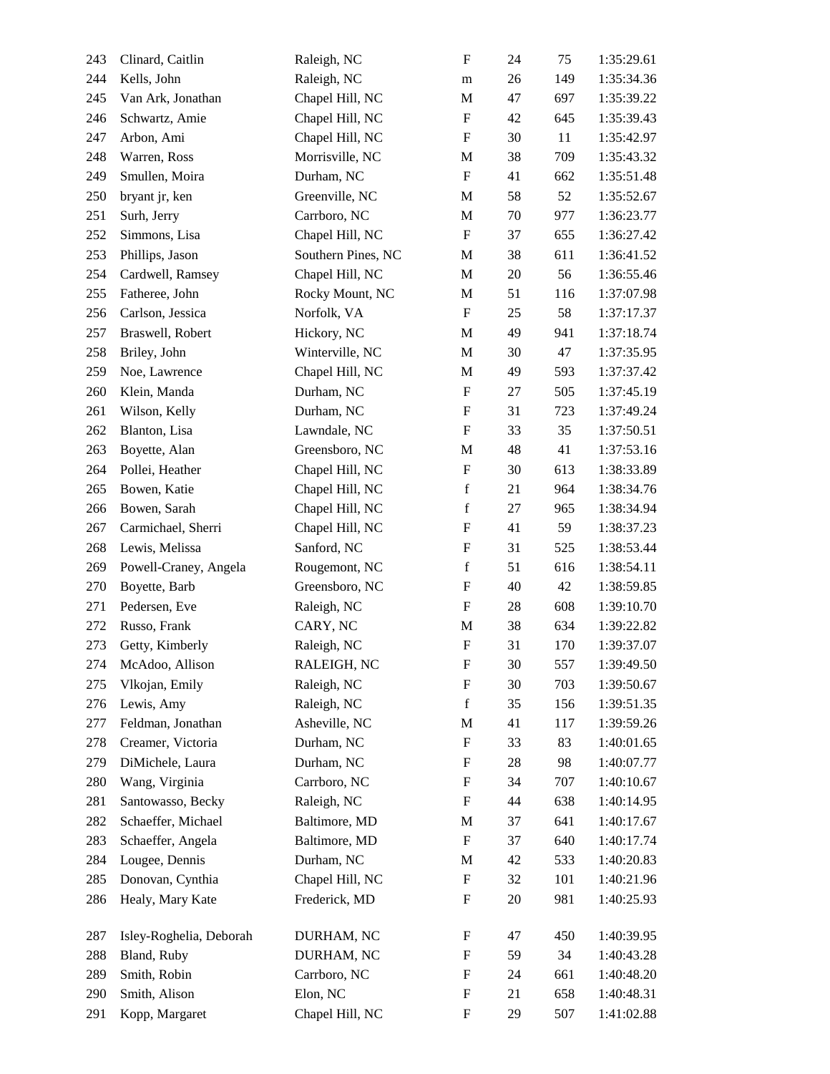| 243 | Clinard, Caitlin        | Raleigh, NC        | $\boldsymbol{\mathrm{F}}$ | 24     | 75  | 1:35:29.61 |
|-----|-------------------------|--------------------|---------------------------|--------|-----|------------|
| 244 | Kells, John             | Raleigh, NC        | m                         | 26     | 149 | 1:35:34.36 |
| 245 | Van Ark, Jonathan       | Chapel Hill, NC    | M                         | 47     | 697 | 1:35:39.22 |
| 246 | Schwartz, Amie          | Chapel Hill, NC    | $\boldsymbol{\mathrm{F}}$ | 42     | 645 | 1:35:39.43 |
| 247 | Arbon, Ami              | Chapel Hill, NC    | $\boldsymbol{\mathrm{F}}$ | 30     | 11  | 1:35:42.97 |
| 248 | Warren, Ross            | Morrisville, NC    | M                         | 38     | 709 | 1:35:43.32 |
| 249 | Smullen, Moira          | Durham, NC         | $\mathbf F$               | 41     | 662 | 1:35:51.48 |
| 250 | bryant jr, ken          | Greenville, NC     | M                         | 58     | 52  | 1:35:52.67 |
| 251 | Surh, Jerry             | Carrboro, NC       | $\mathbf M$               | $70\,$ | 977 | 1:36:23.77 |
| 252 | Simmons, Lisa           | Chapel Hill, NC    | $\boldsymbol{\mathrm{F}}$ | 37     | 655 | 1:36:27.42 |
| 253 | Phillips, Jason         | Southern Pines, NC | M                         | 38     | 611 | 1:36:41.52 |
| 254 | Cardwell, Ramsey        | Chapel Hill, NC    | M                         | $20\,$ | 56  | 1:36:55.46 |
| 255 | Fatheree, John          | Rocky Mount, NC    | M                         | 51     | 116 | 1:37:07.98 |
| 256 | Carlson, Jessica        | Norfolk, VA        | $\boldsymbol{\mathrm{F}}$ | 25     | 58  | 1:37:17.37 |
| 257 | Braswell, Robert        | Hickory, NC        | $\mathbf M$               | 49     | 941 | 1:37:18.74 |
| 258 | Briley, John            | Winterville, NC    | M                         | 30     | 47  | 1:37:35.95 |
| 259 | Noe, Lawrence           | Chapel Hill, NC    | M                         | 49     | 593 | 1:37:37.42 |
| 260 | Klein, Manda            | Durham, NC         | $\boldsymbol{\mathrm{F}}$ | 27     | 505 | 1:37:45.19 |
| 261 | Wilson, Kelly           | Durham, NC         | $\boldsymbol{\mathrm{F}}$ | 31     | 723 | 1:37:49.24 |
| 262 | Blanton, Lisa           | Lawndale, NC       | $\boldsymbol{\mathrm{F}}$ | 33     | 35  | 1:37:50.51 |
| 263 | Boyette, Alan           | Greensboro, NC     | M                         | 48     | 41  | 1:37:53.16 |
| 264 | Pollei, Heather         | Chapel Hill, NC    | $\boldsymbol{\mathrm{F}}$ | 30     | 613 | 1:38:33.89 |
| 265 | Bowen, Katie            | Chapel Hill, NC    | $\mathbf f$               | 21     | 964 | 1:38:34.76 |
| 266 | Bowen, Sarah            | Chapel Hill, NC    | $\mathbf f$               | 27     | 965 | 1:38:34.94 |
| 267 | Carmichael, Sherri      | Chapel Hill, NC    | $\boldsymbol{\mathrm{F}}$ | 41     | 59  | 1:38:37.23 |
| 268 | Lewis, Melissa          | Sanford, NC        | $\boldsymbol{\mathrm{F}}$ | 31     | 525 | 1:38:53.44 |
| 269 | Powell-Craney, Angela   | Rougemont, NC      | $\mathbf f$               | 51     | 616 | 1:38:54.11 |
| 270 | Boyette, Barb           | Greensboro, NC     | $\boldsymbol{\mathrm{F}}$ | 40     | 42  | 1:38:59.85 |
| 271 | Pedersen, Eve           | Raleigh, NC        | $\boldsymbol{\mathrm{F}}$ | 28     | 608 | 1:39:10.70 |
| 272 | Russo, Frank            | CARY, NC           | $\mathbf M$               | 38     | 634 | 1:39:22.82 |
| 273 | Getty, Kimberly         | Raleigh, NC        | $\boldsymbol{\mathrm{F}}$ | 31     | 170 | 1:39:37.07 |
| 274 | McAdoo, Allison         | RALEIGH, NC        | $\boldsymbol{\mathrm{F}}$ | 30     | 557 | 1:39:49.50 |
| 275 | Vlkojan, Emily          | Raleigh, NC        | $\boldsymbol{\mathrm{F}}$ | 30     | 703 | 1:39:50.67 |
| 276 | Lewis, Amy              | Raleigh, NC        | $\mathbf f$               | 35     | 156 | 1:39:51.35 |
| 277 | Feldman, Jonathan       | Asheville, NC      | $\mathbf M$               | 41     | 117 | 1:39:59.26 |
| 278 | Creamer, Victoria       | Durham, NC         | $\mathbf F$               | 33     | 83  | 1:40:01.65 |
| 279 | DiMichele, Laura        | Durham, NC         | $\mathbf F$               | 28     | 98  | 1:40:07.77 |
| 280 | Wang, Virginia          | Carrboro, NC       | $\boldsymbol{\mathrm{F}}$ | 34     | 707 | 1:40:10.67 |
| 281 | Santowasso, Becky       | Raleigh, NC        | $\boldsymbol{\mathrm{F}}$ | 44     | 638 | 1:40:14.95 |
| 282 | Schaeffer, Michael      | Baltimore, MD      | M                         | 37     | 641 | 1:40:17.67 |
| 283 | Schaeffer, Angela       | Baltimore, MD      | $\mathbf F$               | 37     | 640 | 1:40:17.74 |
| 284 | Lougee, Dennis          | Durham, NC         | M                         | 42     | 533 | 1:40:20.83 |
| 285 | Donovan, Cynthia        | Chapel Hill, NC    | $\boldsymbol{\mathrm{F}}$ | 32     | 101 | 1:40:21.96 |
| 286 | Healy, Mary Kate        | Frederick, MD      | $\boldsymbol{F}$          | 20     | 981 | 1:40:25.93 |
| 287 | Isley-Roghelia, Deborah | DURHAM, NC         | $\mathbf F$               | 47     | 450 | 1:40:39.95 |
| 288 | Bland, Ruby             | DURHAM, NC         | $\boldsymbol{\mathrm{F}}$ | 59     | 34  | 1:40:43.28 |
| 289 | Smith, Robin            | Carrboro, NC       | $\boldsymbol{F}$          | 24     | 661 | 1:40:48.20 |
| 290 | Smith, Alison           | Elon, NC           | $\mathbf F$               | 21     | 658 | 1:40:48.31 |
| 291 | Kopp, Margaret          | Chapel Hill, NC    | $\boldsymbol{\mathrm{F}}$ | 29     | 507 | 1:41:02.88 |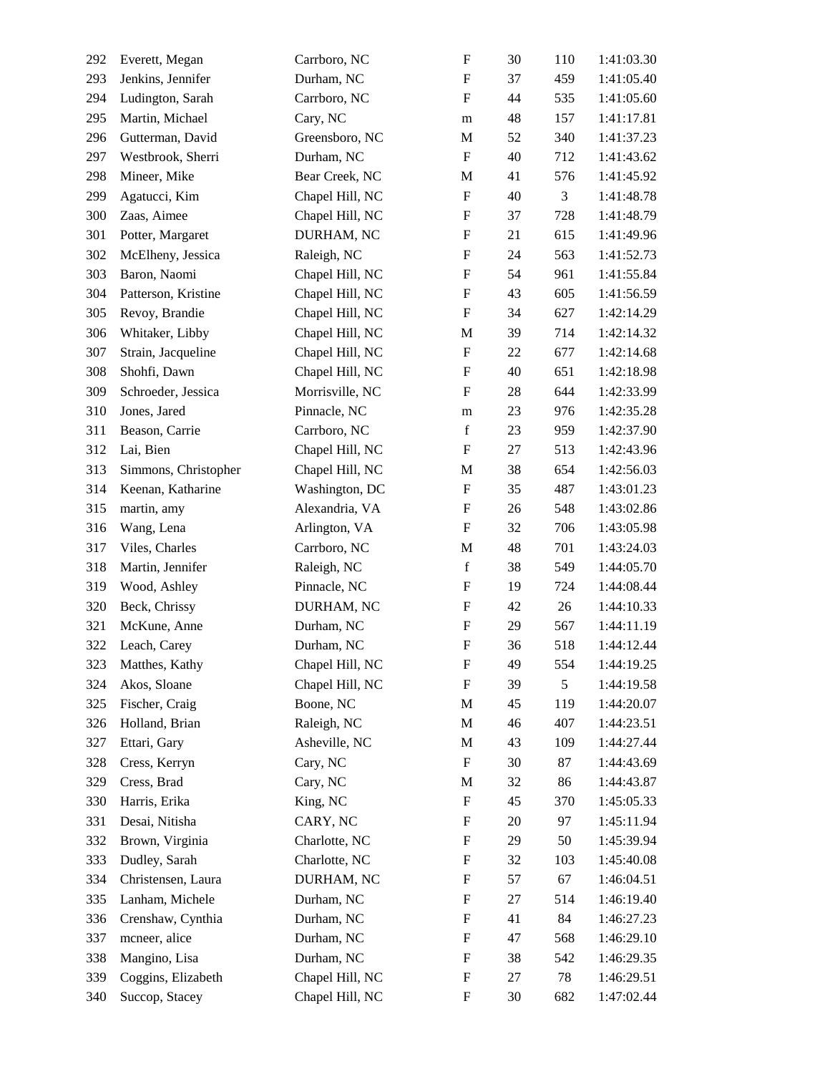| 292 | Everett, Megan       | Carrboro, NC    | $\boldsymbol{\mathrm{F}}$ | 30 | 110 | 1:41:03.30 |
|-----|----------------------|-----------------|---------------------------|----|-----|------------|
| 293 | Jenkins, Jennifer    | Durham, NC      | $\boldsymbol{\mathrm{F}}$ | 37 | 459 | 1:41:05.40 |
| 294 | Ludington, Sarah     | Carrboro, NC    | $\boldsymbol{\mathrm{F}}$ | 44 | 535 | 1:41:05.60 |
| 295 | Martin, Michael      | Cary, NC        | m                         | 48 | 157 | 1:41:17.81 |
| 296 | Gutterman, David     | Greensboro, NC  | $\mathbf M$               | 52 | 340 | 1:41:37.23 |
| 297 | Westbrook, Sherri    | Durham, NC      | $\boldsymbol{\mathrm{F}}$ | 40 | 712 | 1:41:43.62 |
| 298 | Mineer, Mike         | Bear Creek, NC  | M                         | 41 | 576 | 1:41:45.92 |
| 299 | Agatucci, Kim        | Chapel Hill, NC | $\boldsymbol{\mathrm{F}}$ | 40 | 3   | 1:41:48.78 |
| 300 | Zaas, Aimee          | Chapel Hill, NC | $\boldsymbol{\mathrm{F}}$ | 37 | 728 | 1:41:48.79 |
| 301 | Potter, Margaret     | DURHAM, NC      | $\boldsymbol{\mathrm{F}}$ | 21 | 615 | 1:41:49.96 |
| 302 | McElheny, Jessica    | Raleigh, NC     | $\boldsymbol{\mathrm{F}}$ | 24 | 563 | 1:41:52.73 |
| 303 | Baron, Naomi         | Chapel Hill, NC | $\boldsymbol{\mathrm{F}}$ | 54 | 961 | 1:41:55.84 |
| 304 | Patterson, Kristine  | Chapel Hill, NC | $\boldsymbol{\mathrm{F}}$ | 43 | 605 | 1:41:56.59 |
| 305 | Revoy, Brandie       | Chapel Hill, NC | $\boldsymbol{\mathrm{F}}$ | 34 | 627 | 1:42:14.29 |
| 306 | Whitaker, Libby      | Chapel Hill, NC | M                         | 39 | 714 | 1:42:14.32 |
| 307 | Strain, Jacqueline   | Chapel Hill, NC | $\boldsymbol{\mathrm{F}}$ | 22 | 677 | 1:42:14.68 |
| 308 | Shohfi, Dawn         | Chapel Hill, NC | $\boldsymbol{\mathrm{F}}$ | 40 | 651 | 1:42:18.98 |
| 309 | Schroeder, Jessica   | Morrisville, NC | $\boldsymbol{\mathrm{F}}$ | 28 | 644 | 1:42:33.99 |
| 310 | Jones, Jared         | Pinnacle, NC    | ${\rm m}$                 | 23 | 976 | 1:42:35.28 |
| 311 | Beason, Carrie       | Carrboro, NC    | $\mathbf f$               | 23 | 959 | 1:42:37.90 |
| 312 | Lai, Bien            | Chapel Hill, NC | $\boldsymbol{\mathrm{F}}$ | 27 | 513 | 1:42:43.96 |
| 313 | Simmons, Christopher | Chapel Hill, NC | M                         | 38 | 654 | 1:42:56.03 |
| 314 | Keenan, Katharine    | Washington, DC  | $\boldsymbol{\mathrm{F}}$ | 35 | 487 | 1:43:01.23 |
| 315 | martin, amy          | Alexandria, VA  | $\boldsymbol{\mathrm{F}}$ | 26 | 548 | 1:43:02.86 |
| 316 | Wang, Lena           | Arlington, VA   | $\mathbf F$               | 32 | 706 | 1:43:05.98 |
| 317 | Viles, Charles       | Carrboro, NC    | M                         | 48 | 701 | 1:43:24.03 |
| 318 | Martin, Jennifer     | Raleigh, NC     | $\mathbf f$               | 38 | 549 | 1:44:05.70 |
| 319 | Wood, Ashley         | Pinnacle, NC    | $\boldsymbol{\mathrm{F}}$ | 19 | 724 | 1:44:08.44 |
| 320 | Beck, Chrissy        | DURHAM, NC      | $\boldsymbol{\mathrm{F}}$ | 42 | 26  | 1:44:10.33 |
| 321 | McKune, Anne         | Durham, NC      | $\boldsymbol{\mathrm{F}}$ | 29 | 567 | 1:44:11.19 |
| 322 | Leach, Carey         | Durham, NC      | $\boldsymbol{\mathrm{F}}$ | 36 | 518 | 1:44:12.44 |
| 323 | Matthes, Kathy       | Chapel Hill, NC | F                         | 49 | 554 | 1:44:19.25 |
| 324 | Akos, Sloane         | Chapel Hill, NC | $\boldsymbol{\mathrm{F}}$ | 39 | 5   | 1:44:19.58 |
| 325 | Fischer, Craig       | Boone, NC       | M                         | 45 | 119 | 1:44:20.07 |
| 326 | Holland, Brian       | Raleigh, NC     | $\mathbf M$               | 46 | 407 | 1:44:23.51 |
| 327 | Ettari, Gary         | Asheville, NC   | M                         | 43 | 109 | 1:44:27.44 |
| 328 | Cress, Kerryn        | Cary, NC        | $\mathbf F$               | 30 | 87  | 1:44:43.69 |
| 329 | Cress, Brad          | Cary, NC        | $\mathbf M$               | 32 | 86  | 1:44:43.87 |
| 330 | Harris, Erika        | King, NC        | $\mathbf F$               | 45 | 370 | 1:45:05.33 |
| 331 | Desai, Nitisha       | CARY, NC        | $\mathbf F$               | 20 | 97  | 1:45:11.94 |
| 332 | Brown, Virginia      | Charlotte, NC   | $\boldsymbol{\mathrm{F}}$ | 29 | 50  | 1:45:39.94 |
| 333 | Dudley, Sarah        | Charlotte, NC   | $\mathbf F$               | 32 | 103 | 1:45:40.08 |
| 334 | Christensen, Laura   | DURHAM, NC      | $\boldsymbol{\mathrm{F}}$ | 57 | 67  | 1:46:04.51 |
| 335 | Lanham, Michele      | Durham, NC      | $\mathbf F$               | 27 | 514 | 1:46:19.40 |
| 336 | Crenshaw, Cynthia    | Durham, NC      | $\mathbf F$               | 41 | 84  | 1:46:27.23 |
| 337 | mcneer, alice        | Durham, NC      | $\boldsymbol{\mathrm{F}}$ | 47 | 568 | 1:46:29.10 |
| 338 | Mangino, Lisa        | Durham, NC      | $\mathbf F$               | 38 | 542 | 1:46:29.35 |
| 339 | Coggins, Elizabeth   | Chapel Hill, NC | $\boldsymbol{\mathrm{F}}$ | 27 | 78  | 1:46:29.51 |
| 340 | Succop, Stacey       | Chapel Hill, NC | $\boldsymbol{F}$          | 30 | 682 | 1:47:02.44 |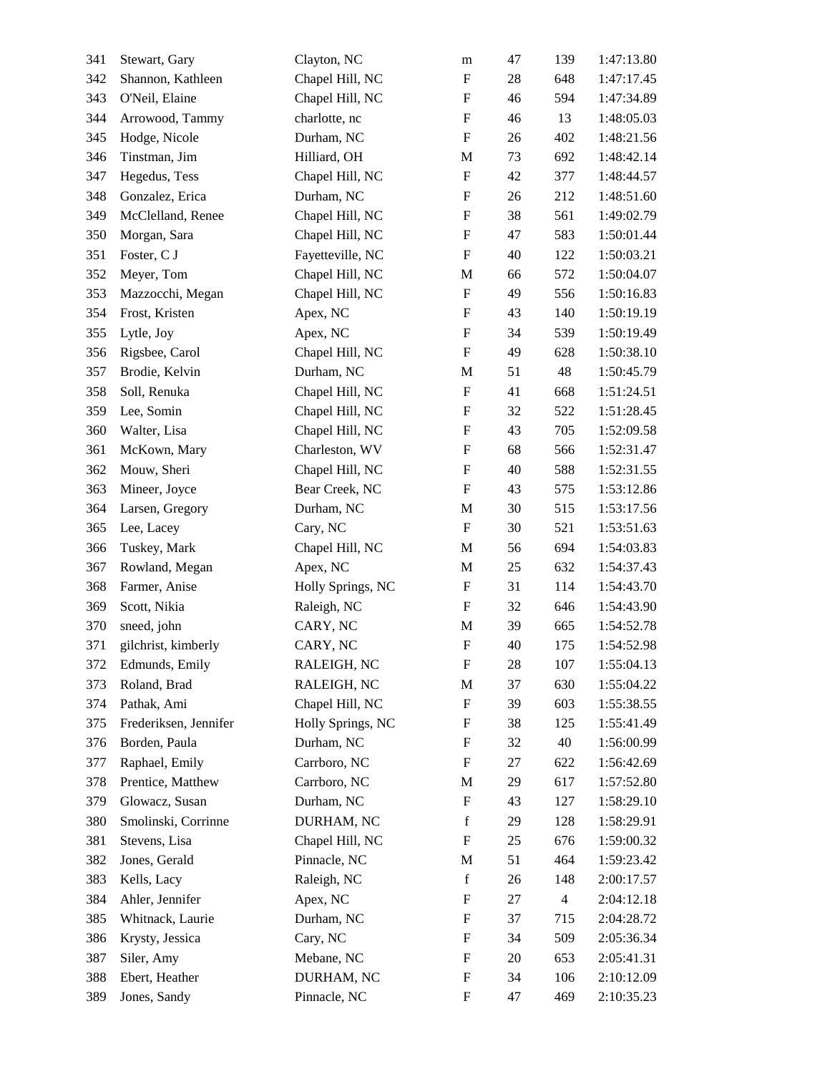| 341 | Stewart, Gary         | Clayton, NC       | m                         | 47     | 139            | 1:47:13.80 |
|-----|-----------------------|-------------------|---------------------------|--------|----------------|------------|
| 342 | Shannon, Kathleen     | Chapel Hill, NC   | $\mathbf F$               | 28     | 648            | 1:47:17.45 |
| 343 | O'Neil, Elaine        | Chapel Hill, NC   | $\boldsymbol{\mathrm{F}}$ | 46     | 594            | 1:47:34.89 |
| 344 | Arrowood, Tammy       | charlotte, nc     | $\boldsymbol{\mathrm{F}}$ | 46     | 13             | 1:48:05.03 |
| 345 | Hodge, Nicole         | Durham, NC        | $\boldsymbol{\mathrm{F}}$ | 26     | 402            | 1:48:21.56 |
| 346 | Tinstman, Jim         | Hilliard, OH      | $\mathbf M$               | 73     | 692            | 1:48:42.14 |
| 347 | Hegedus, Tess         | Chapel Hill, NC   | $\mathbf F$               | 42     | 377            | 1:48:44.57 |
| 348 | Gonzalez, Erica       | Durham, NC        | $\boldsymbol{\mathrm{F}}$ | 26     | 212            | 1:48:51.60 |
| 349 | McClelland, Renee     | Chapel Hill, NC   | $\boldsymbol{\mathrm{F}}$ | 38     | 561            | 1:49:02.79 |
| 350 | Morgan, Sara          | Chapel Hill, NC   | $\boldsymbol{\mathrm{F}}$ | 47     | 583            | 1:50:01.44 |
| 351 | Foster, C J           | Fayetteville, NC  | $\mathbf F$               | 40     | 122            | 1:50:03.21 |
| 352 | Meyer, Tom            | Chapel Hill, NC   | M                         | 66     | 572            | 1:50:04.07 |
| 353 | Mazzocchi, Megan      | Chapel Hill, NC   | $\boldsymbol{\mathrm{F}}$ | 49     | 556            | 1:50:16.83 |
| 354 | Frost, Kristen        | Apex, NC          | $\boldsymbol{\mathrm{F}}$ | 43     | 140            | 1:50:19.19 |
| 355 | Lytle, Joy            | Apex, NC          | $\boldsymbol{\mathrm{F}}$ | 34     | 539            | 1:50:19.49 |
| 356 | Rigsbee, Carol        | Chapel Hill, NC   | $\mathbf F$               | 49     | 628            | 1:50:38.10 |
| 357 | Brodie, Kelvin        | Durham, NC        | M                         | 51     | 48             | 1:50:45.79 |
| 358 | Soll, Renuka          | Chapel Hill, NC   | $\boldsymbol{\mathrm{F}}$ | 41     | 668            | 1:51:24.51 |
| 359 | Lee, Somin            | Chapel Hill, NC   | $\boldsymbol{\mathrm{F}}$ | 32     | 522            | 1:51:28.45 |
| 360 | Walter, Lisa          | Chapel Hill, NC   | $\boldsymbol{\mathrm{F}}$ | 43     | 705            | 1:52:09.58 |
| 361 | McKown, Mary          | Charleston, WV    | $\boldsymbol{\mathrm{F}}$ | 68     | 566            | 1:52:31.47 |
| 362 | Mouw, Sheri           | Chapel Hill, NC   | $\boldsymbol{\mathrm{F}}$ | 40     | 588            | 1:52:31.55 |
| 363 | Mineer, Joyce         | Bear Creek, NC    | $\boldsymbol{\mathrm{F}}$ | 43     | 575            | 1:53:12.86 |
| 364 | Larsen, Gregory       | Durham, NC        | M                         | 30     | 515            | 1:53:17.56 |
| 365 | Lee, Lacey            | Cary, NC          | $\boldsymbol{\mathrm{F}}$ | 30     | 521            | 1:53:51.63 |
| 366 | Tuskey, Mark          | Chapel Hill, NC   | $\mathbf M$               | 56     | 694            | 1:54:03.83 |
| 367 | Rowland, Megan        | Apex, NC          | M                         | $25\,$ | 632            | 1:54:37.43 |
| 368 | Farmer, Anise         | Holly Springs, NC | $\boldsymbol{\mathrm{F}}$ | 31     | 114            | 1:54:43.70 |
| 369 | Scott, Nikia          | Raleigh, NC       | $\boldsymbol{\mathrm{F}}$ | 32     | 646            | 1:54:43.90 |
| 370 | sneed, john           | CARY, NC          | $\mathbf M$               | 39     | 665            | 1:54:52.78 |
| 371 | gilchrist, kimberly   | CARY, NC          | $\mathbf F$               | 40     | 175            | 1:54:52.98 |
| 372 | Edmunds, Emily        | RALEIGH, NC       | F                         | 28     | 107            | 1:55:04.13 |
| 373 | Roland, Brad          | RALEIGH, NC       | $\mathbf M$               | 37     | 630            | 1:55:04.22 |
| 374 | Pathak, Ami           | Chapel Hill, NC   | $\mathbf F$               | 39     | 603            | 1:55:38.55 |
| 375 | Frederiksen, Jennifer | Holly Springs, NC | $\boldsymbol{F}$          | 38     | 125            | 1:55:41.49 |
| 376 | Borden, Paula         | Durham, NC        | $\boldsymbol{\mathrm{F}}$ | 32     | 40             | 1:56:00.99 |
| 377 | Raphael, Emily        | Carrboro, NC      | $\boldsymbol{\mathrm{F}}$ | 27     | 622            | 1:56:42.69 |
| 378 | Prentice, Matthew     | Carrboro, NC      | $\mathbf M$               | 29     | 617            | 1:57:52.80 |
| 379 | Glowacz, Susan        | Durham, NC        | $\mathbf F$               | 43     | 127            | 1:58:29.10 |
| 380 | Smolinski, Corrinne   | DURHAM, NC        | $\mathbf f$               | 29     | 128            | 1:58:29.91 |
| 381 | Stevens, Lisa         | Chapel Hill, NC   | $\boldsymbol{\mathrm{F}}$ | 25     | 676            | 1:59:00.32 |
| 382 | Jones, Gerald         | Pinnacle, NC      | M                         | 51     | 464            | 1:59:23.42 |
| 383 | Kells, Lacy           | Raleigh, NC       | $\mathbf f$               | 26     | 148            | 2:00:17.57 |
| 384 | Ahler, Jennifer       | Apex, NC          | F                         | 27     | $\overline{4}$ | 2:04:12.18 |
| 385 | Whitnack, Laurie      | Durham, NC        | $\boldsymbol{\mathrm{F}}$ | 37     | 715            | 2:04:28.72 |
| 386 | Krysty, Jessica       | Cary, NC          | $\boldsymbol{\mathrm{F}}$ | 34     | 509            | 2:05:36.34 |
| 387 | Siler, Amy            | Mebane, NC        | $\boldsymbol{\mathrm{F}}$ | 20     | 653            | 2:05:41.31 |
| 388 | Ebert, Heather        | DURHAM, NC        | $\boldsymbol{\mathrm{F}}$ | 34     | 106            | 2:10:12.09 |
| 389 | Jones, Sandy          | Pinnacle, NC      | $\boldsymbol{F}$          | 47     | 469            | 2:10:35.23 |